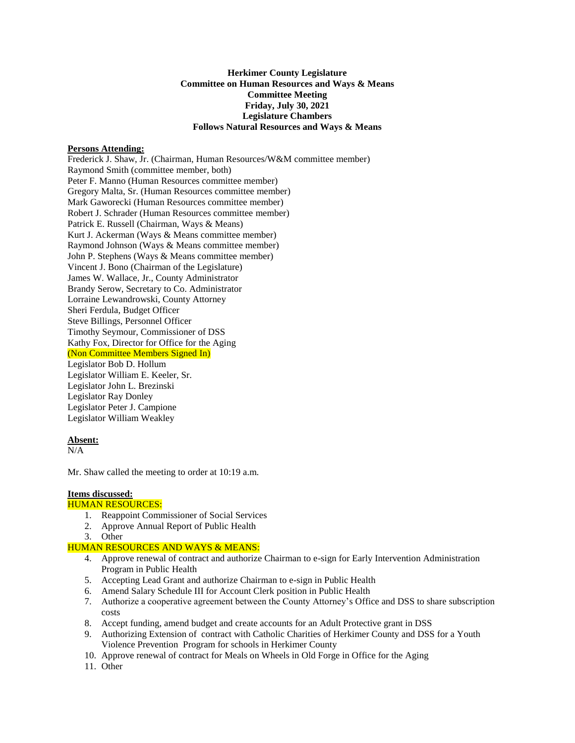# **Herkimer County Legislature Committee on Human Resources and Ways & Means Committee Meeting Friday, July 30, 2021 Legislature Chambers Follows Natural Resources and Ways & Means**

## **Persons Attending:**

Frederick J. Shaw, Jr. (Chairman, Human Resources/W&M committee member) Raymond Smith (committee member, both) Peter F. Manno (Human Resources committee member) Gregory Malta, Sr. (Human Resources committee member) Mark Gaworecki (Human Resources committee member) Robert J. Schrader (Human Resources committee member) Patrick E. Russell (Chairman, Ways & Means) Kurt J. Ackerman (Ways & Means committee member) Raymond Johnson (Ways & Means committee member) John P. Stephens (Ways & Means committee member) Vincent J. Bono (Chairman of the Legislature) James W. Wallace, Jr., County Administrator Brandy Serow, Secretary to Co. Administrator Lorraine Lewandrowski, County Attorney Sheri Ferdula, Budget Officer Steve Billings, Personnel Officer Timothy Seymour, Commissioner of DSS Kathy Fox, Director for Office for the Aging (Non Committee Members Signed In) Legislator Bob D. Hollum Legislator William E. Keeler, Sr. Legislator John L. Brezinski Legislator Ray Donley Legislator Peter J. Campione Legislator William Weakley

#### **Absent:**

 $N/A$ 

Mr. Shaw called the meeting to order at 10:19 a.m.

# **Items discussed:**

## HUMAN RESOURCES:

- 1. Reappoint Commissioner of Social Services
- 2. Approve Annual Report of Public Health
- 3. Other

# HUMAN RESOURCES AND WAYS & MEANS:

- 4. Approve renewal of contract and authorize Chairman to e-sign for Early Intervention Administration Program in Public Health
- 5. Accepting Lead Grant and authorize Chairman to e-sign in Public Health
- 6. Amend Salary Schedule III for Account Clerk position in Public Health
- 7. Authorize a cooperative agreement between the County Attorney's Office and DSS to share subscription costs
- 8. Accept funding, amend budget and create accounts for an Adult Protective grant in DSS
- 9. Authorizing Extension of contract with Catholic Charities of Herkimer County and DSS for a Youth Violence Prevention Program for schools in Herkimer County
- 10. Approve renewal of contract for Meals on Wheels in Old Forge in Office for the Aging
- 11. Other